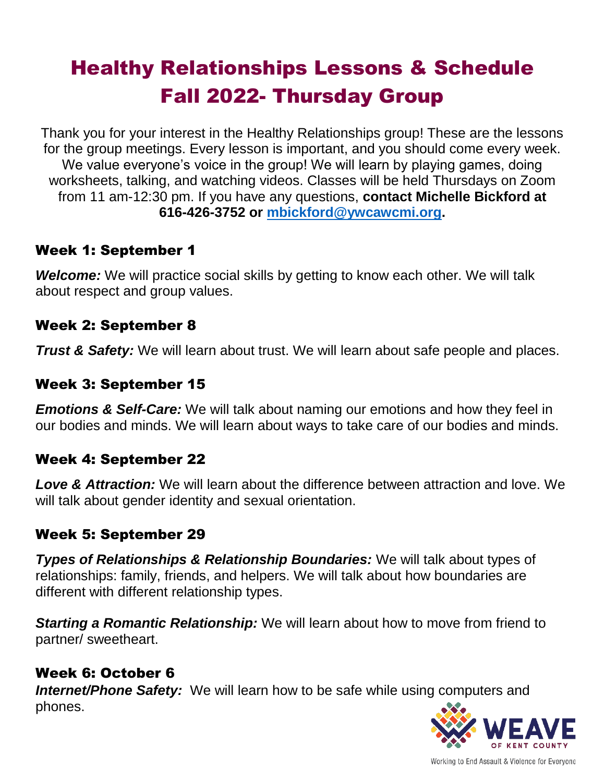# Healthy Relationships Lessons & Schedule Fall 2022- Thursday Group

Thank you for your interest in the Healthy Relationships group! These are the lessons for the group meetings. Every lesson is important, and you should come every week. We value everyone's voice in the group! We will learn by playing games, doing worksheets, talking, and watching videos. Classes will be held Thursdays on Zoom from 11 am-12:30 pm. If you have any questions, **contact Michelle Bickford at 616-426-3752 or [mbickford@ywcawcmi.org.](mailto:mbickford@ywcawcmi.org)**

## Week 1: September 1

*Welcome:* We will practice social skills by getting to know each other. We will talk about respect and group values.

## Week 2: September 8

*Trust & Safety:* We will learn about trust. We will learn about safe people and places.

## Week 3: September 15

*Emotions & Self-Care:* We will talk about naming our emotions and how they feel in our bodies and minds. We will learn about ways to take care of our bodies and minds.

## Week 4: September 22

*Love & Attraction:* We will learn about the difference between attraction and love. We will talk about gender identity and sexual orientation.

## Week 5: September 29

*Types of Relationships & Relationship Boundaries:* We will talk about types of relationships: family, friends, and helpers. We will talk about how boundaries are different with different relationship types.

*Starting a Romantic Relationship:* We will learn about how to move from friend to partner/ sweetheart.

## Week 6: October 6

**Internet/Phone Safety:** We will learn how to be safe while using computers and phones.



Working to End Assault & Violence for Everyone